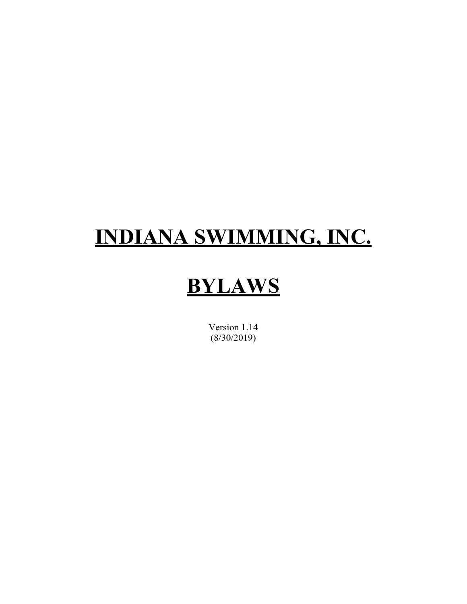# **INDIANA SWIMMING, INC.**

# **BYLAWS**

Version 1.14 (8/30/2019)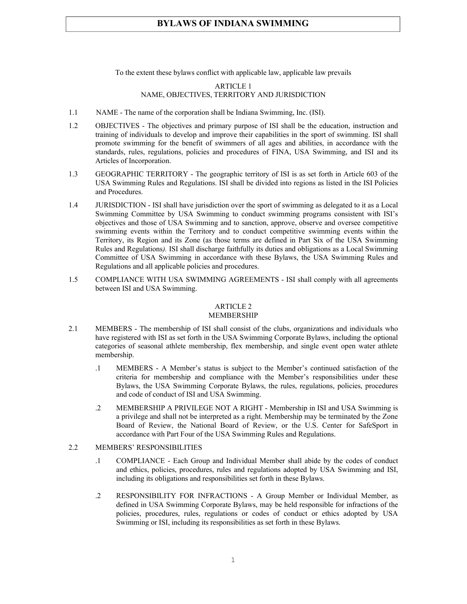To the extent these bylaws conflict with applicable law, applicable law prevails

### ARTICLE 1 NAME, OBJECTIVES, TERRITORY AND JURISDICTION

- 1.1 NAME The name of the corporation shall be Indiana Swimming, Inc. (ISI).
- 1.2 OBJECTIVES The objectives and primary purpose of ISI shall be the education, instruction and training of individuals to develop and improve their capabilities in the sport of swimming. ISI shall promote swimming for the benefit of swimmers of all ages and abilities, in accordance with the standards, rules, regulations, policies and procedures of FINA, USA Swimming, and ISI and its Articles of Incorporation.
- 1.3 GEOGRAPHIC TERRITORY The geographic territory of ISI is as set forth in Article 603 of the USA Swimming Rules and Regulations. ISI shall be divided into regions as listed in the ISI Policies and Procedures.
- 1.4 JURISDICTION ISI shall have jurisdiction over the sport of swimming as delegated to it as a Local Swimming Committee by USA Swimming to conduct swimming programs consistent with ISI's objectives and those of USA Swimming and to sanction, approve, observe and oversee competitive swimming events within the Territory and to conduct competitive swimming events within the Territory, its Region and its Zone (as those terms are defined in Part Six of the USA Swimming Rules and Regulations*).* ISI shall discharge faithfully its duties and obligations as a Local Swimming Committee of USA Swimming in accordance with these Bylaws, the USA Swimming Rules and Regulations and all applicable policies and procedures.
- 1.5 COMPLIANCE WITH USA SWIMMING AGREEMENTS ISI shall comply with all agreements between ISI and USA Swimming.

#### ARTICLE 2

#### MEMBERSHIP

- 2.1 MEMBERS The membership of ISI shall consist of the clubs, organizations and individuals who have registered with ISI as set forth in the USA Swimming Corporate Bylaws, including the optional categories of seasonal athlete membership, flex membership, and single event open water athlete membership.
	- .1 MEMBERS A Member's status is subject to the Member's continued satisfaction of the criteria for membership and compliance with the Member's responsibilities under these Bylaws, the USA Swimming Corporate Bylaws, the rules, regulations, policies, procedures and code of conduct of ISI and USA Swimming.
	- .2 MEMBERSHIP A PRIVILEGE NOT A RIGHT Membership in ISI and USA Swimming is a privilege and shall not be interpreted as a right. Membership may be terminated by the Zone Board of Review, the National Board of Review, or the U.S. Center for SafeSport in accordance with Part Four of the USA Swimming Rules and Regulations.
- 2.2 MEMBERS' RESPONSIBILITIES
	- .1 COMPLIANCE Each Group and Individual Member shall abide by the codes of conduct and ethics, policies, procedures, rules and regulations adopted by USA Swimming and ISI, including its obligations and responsibilities set forth in these Bylaws.
	- .2 RESPONSIBILITY FOR INFRACTIONS A Group Member or Individual Member, as defined in USA Swimming Corporate Bylaws, may be held responsible for infractions of the policies, procedures, rules, regulations or codes of conduct or ethics adopted by USA Swimming or ISI, including its responsibilities as set forth in these Bylaws.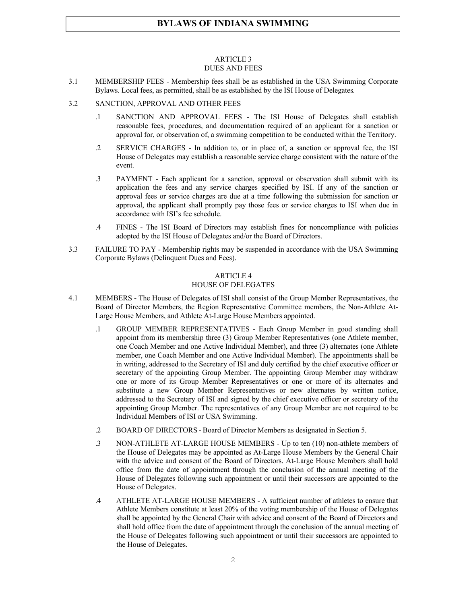#### ARTICLE 3 DUES AND FEES

- 3.1 MEMBERSHIP FEES Membership fees shall be as established in the USA Swimming Corporate Bylaws. Local fees, as permitted, shall be as established by the ISI House of Delegates*.*
- 3.2 SANCTION, APPROVAL AND OTHER FEES
	- .1 SANCTION AND APPROVAL FEES The ISI House of Delegates shall establish reasonable fees, procedures, and documentation required of an applicant for a sanction or approval for, or observation of, a swimming competition to be conducted within the Territory.
	- .2 SERVICE CHARGES In addition to, or in place of, a sanction or approval fee, the ISI House of Delegates may establish a reasonable service charge consistent with the nature of the event.
	- .3 PAYMENT Each applicant for a sanction, approval or observation shall submit with its application the fees and any service charges specified by ISI. If any of the sanction or approval fees or service charges are due at a time following the submission for sanction or approval, the applicant shall promptly pay those fees or service charges to ISI when due in accordance with ISI's fee schedule.
	- .4 FINES The ISI Board of Directors may establish fines for noncompliance with policies adopted by the ISI House of Delegates and/or the Board of Directors.
- 3.3 FAILURE TO PAY Membership rights may be suspended in accordance with the USA Swimming Corporate Bylaws (Delinquent Dues and Fees).

## ARTICLE 4

#### HOUSE OF DELEGATES

- 4.1 MEMBERS The House of Delegates of ISI shall consist of the Group Member Representatives, the Board of Director Members, the Region Representative Committee members, the Non-Athlete At-Large House Members, and Athlete At-Large House Members appointed.
	- .1 GROUP MEMBER REPRESENTATIVES Each Group Member in good standing shall appoint from its membership three (3) Group Member Representatives (one Athlete member, one Coach Member and one Active Individual Member), and three (3) alternates (one Athlete member, one Coach Member and one Active Individual Member). The appointments shall be in writing, addressed to the Secretary of ISI and duly certified by the chief executive officer or secretary of the appointing Group Member. The appointing Group Member may withdraw one or more of its Group Member Representatives or one or more of its alternates and substitute a new Group Member Representatives or new alternates by written notice, addressed to the Secretary of ISI and signed by the chief executive officer or secretary of the appointing Group Member. The representatives of any Group Member are not required to be Individual Members of ISI or USA Swimming.
	- .2 BOARD OF DIRECTORS Board of Director Members as designated in Section 5.
	- .3 NON-ATHLETE AT-LARGE HOUSE MEMBERS Up to ten (10) non-athlete members of the House of Delegates may be appointed as At-Large House Members by the General Chair with the advice and consent of the Board of Directors. At-Large House Members shall hold office from the date of appointment through the conclusion of the annual meeting of the House of Delegates following such appointment or until their successors are appointed to the House of Delegates.
	- .4 ATHLETE AT-LARGE HOUSE MEMBERS A sufficient number of athletes to ensure that Athlete Members constitute at least 20% of the voting membership of the House of Delegates shall be appointed by the General Chair with advice and consent of the Board of Directors and shall hold office from the date of appointment through the conclusion of the annual meeting of the House of Delegates following such appointment or until their successors are appointed to the House of Delegates.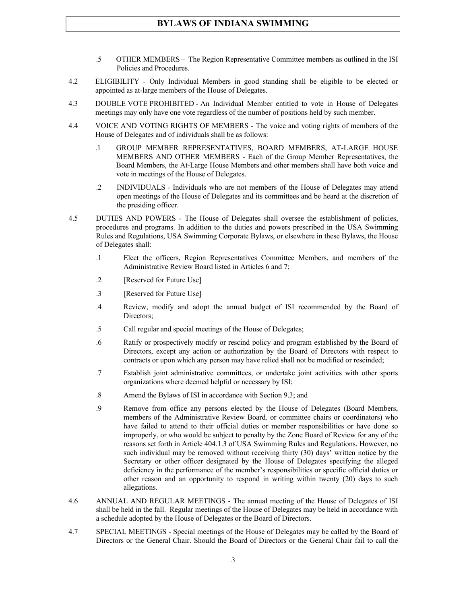- .5 OTHER MEMBERS The Region Representative Committee members as outlined in the ISI Policies and Procedures.
- 4.2 ELIGIBILITY Only Individual Members in good standing shall be eligible to be elected or appointed as at-large members of the House of Delegates.
- 4.3 DOUBLE VOTE PROHIBITED An Individual Member entitled to vote in House of Delegates meetings may only have one vote regardless of the number of positions held by such member.
- 4.4 VOICE AND VOTING RIGHTS OF MEMBERS The voice and voting rights of members of the House of Delegates and of individuals shall be as follows:
	- .1 GROUP MEMBER REPRESENTATIVES, BOARD MEMBERS, AT-LARGE HOUSE MEMBERS AND OTHER MEMBERS - Each of the Group Member Representatives, the Board Members, the At-Large House Members and other members shall have both voice and vote in meetings of the House of Delegates.
	- .2 INDIVIDUALS Individuals who are not members of the House of Delegates may attend open meetings of the House of Delegates and its committees and be heard at the discretion of the presiding officer.
- 4.5 DUTIES AND POWERS The House of Delegates shall oversee the establishment of policies, procedures and programs. In addition to the duties and powers prescribed in the USA Swimming Rules and Regulations, USA Swimming Corporate Bylaws, or elsewhere in these Bylaws, the House of Delegates shall:
	- .1 Elect the officers, Region Representatives Committee Members, and members of the Administrative Review Board listed in Articles 6 and 7;
	- .2 [Reserved for Future Use]
	- .3 [Reserved for Future Use]
	- .4 Review, modify and adopt the annual budget of ISI recommended by the Board of Directors;
	- .5 Call regular and special meetings of the House of Delegates;
	- .6 Ratify or prospectively modify or rescind policy and program established by the Board of Directors, except any action or authorization by the Board of Directors with respect to contracts or upon which any person may have relied shall not be modified or rescinded;
	- .7 Establish joint administrative committees, or undertake joint activities with other sports organizations where deemed helpful or necessary by ISI;
	- .8 Amend the Bylaws of ISI in accordance with Section 9.3; and
	- .9 Remove from office any persons elected by the House of Delegates (Board Members, members of the Administrative Review Board*,* or committee chairs or coordinators) who have failed to attend to their official duties or member responsibilities or have done so improperly, or who would be subject to penalty by the Zone Board of Review for any of the reasons set forth in Article 404.1.3 of USA Swimming Rules and Regulations. However, no such individual may be removed without receiving thirty (30) days' written notice by the Secretary or other officer designated by the House of Delegates specifying the alleged deficiency in the performance of the member's responsibilities or specific official duties or other reason and an opportunity to respond in writing within twenty (20) days to such allegations.
- 4.6 ANNUAL AND REGULAR MEETINGS The annual meeting of the House of Delegates of ISI shall be held in the fall. Regular meetings of the House of Delegates may be held in accordance with a schedule adopted by the House of Delegates or the Board of Directors.
- 4.7 SPECIAL MEETINGS Special meetings of the House of Delegates may be called by the Board of Directors or the General Chair. Should the Board of Directors or the General Chair fail to call the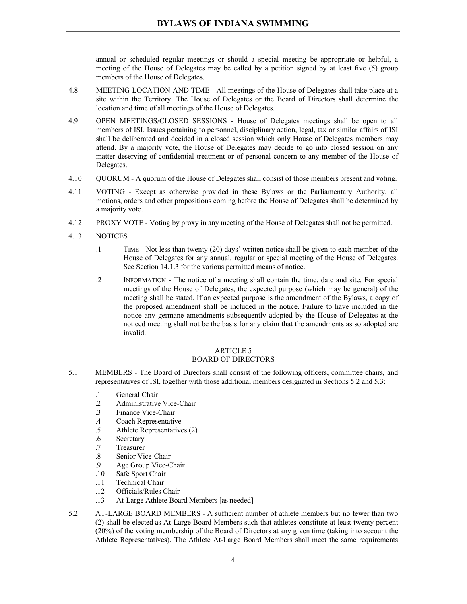annual or scheduled regular meetings or should a special meeting be appropriate or helpful, a meeting of the House of Delegates may be called by a petition signed by at least five (5) group members of the House of Delegates.

- 4.8 MEETING LOCATION AND TIME All meetings of the House of Delegates shall take place at a site within the Territory. The House of Delegates or the Board of Directors shall determine the location and time of all meetings of the House of Delegates.
- 4.9 OPEN MEETINGS/CLOSED SESSIONS House of Delegates meetings shall be open to all members of ISI. Issues pertaining to personnel, disciplinary action, legal, tax or similar affairs of ISI shall be deliberated and decided in a closed session which only House of Delegates members may attend. By a majority vote, the House of Delegates may decide to go into closed session on any matter deserving of confidential treatment or of personal concern to any member of the House of Delegates.
- 4.10 QUORUM A quorum of the House of Delegates shall consist of those members present and voting.
- 4.11 VOTING Except as otherwise provided in these Bylaws or the Parliamentary Authority, all motions, orders and other propositions coming before the House of Delegates shall be determined by a majority vote.
- 4.12 PROXY VOTE Voting by proxy in any meeting of the House of Delegates shall not be permitted.
- 4.13 NOTICES
	- .1 TIME Not less than twenty (20) days' written notice shall be given to each member of the House of Delegates for any annual, regular or special meeting of the House of Delegates. See Section 14.1.3 for the various permitted means of notice.
	- .2 INFORMATION The notice of a meeting shall contain the time, date and site. For special meetings of the House of Delegates, the expected purpose (which may be general) of the meeting shall be stated. If an expected purpose is the amendment of the Bylaws, a copy of the proposed amendment shall be included in the notice. Failure to have included in the notice any germane amendments subsequently adopted by the House of Delegates at the noticed meeting shall not be the basis for any claim that the amendments as so adopted are invalid.

## ARTICLE 5

## BOARD OF DIRECTORS

- 5.1 MEMBERS The Board of Directors shall consist of the following officers, committee chairs*,* and representatives of ISI, together with those additional members designated in Sections 5.2 and 5.3:
	- .1 General Chair
	- .2 Administrative Vice-Chair<br>3 Finance Vice-Chair
	- Finance Vice-Chair
	- .4 Coach Representative
	- .5 Athlete Representatives (2)
	- .6 Secretary
	- .7 Treasurer
	- .8 Senior Vice-Chair
	- .9 Age Group Vice-Chair
	- .10 Safe Sport Chair
	- .11 Technical Chair
	- .12 Officials/Rules Chair
	- .13 At-Large Athlete Board Members [as needed]
- 5.2 AT-LARGE BOARD MEMBERS A sufficient number of athlete members but no fewer than two (2) shall be elected as At-Large Board Members such that athletes constitute at least twenty percent (20%) of the voting membership of the Board of Directors at any given time (taking into account the Athlete Representatives). The Athlete At-Large Board Members shall meet the same requirements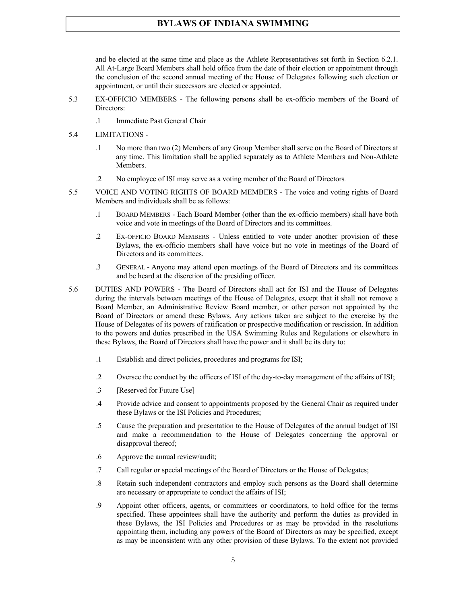and be elected at the same time and place as the Athlete Representatives set forth in Section 6.2.1. All At-Large Board Members shall hold office from the date of their election or appointment through the conclusion of the second annual meeting of the House of Delegates following such election or appointment, or until their successors are elected or appointed.

- 5.3 EX-OFFICIO MEMBERS The following persons shall be ex-officio members of the Board of Directors:
	- .1 Immediate Past General Chair
- 5.4 LIMITATIONS
	- *.*1 No more than two (2) Members of any Group Member shall serve on the Board of Directors at any time. This limitation shall be applied separately as to Athlete Members and Non-Athlete Members.
	- .2 No employee of ISI may serve as a voting member of the Board of Directors*.*
- 5.5 VOICE AND VOTING RIGHTS OF BOARD MEMBERS The voice and voting rights of Board Members and individuals shall be as follows:
	- .1 BOARD MEMBERS Each Board Member (other than the ex-officio members) shall have both voice and vote in meetings of the Board of Directors and its committees.
	- .2 EX-OFFICIO BOARD MEMBERS Unless entitled to vote under another provision of these Bylaws, the ex-officio members shall have voice but no vote in meetings of the Board of Directors and its committees.
	- .3 GENERAL Anyone may attend open meetings of the Board of Directors and its committees and be heard at the discretion of the presiding officer.
- 5.6 DUTIES AND POWERS The Board of Directors shall act for ISI and the House of Delegates during the intervals between meetings of the House of Delegates, except that it shall not remove a Board Member, an Administrative Review Board member, or other person not appointed by the Board of Directors or amend these Bylaws. Any actions taken are subject to the exercise by the House of Delegates of its powers of ratification or prospective modification or rescission. In addition to the powers and duties prescribed in the USA Swimming Rules and Regulations or elsewhere in these Bylaws, the Board of Directors shall have the power and it shall be its duty to:
	- .1 Establish and direct policies, procedures and programs for ISI;
	- .2 Oversee the conduct by the officers of ISI of the day-to-day management of the affairs of ISI;
	- .3 [Reserved for Future Use]
	- .4 Provide advice and consent to appointments proposed by the General Chair as required under these Bylaws or the ISI Policies and Procedures;
	- .5 Cause the preparation and presentation to the House of Delegates of the annual budget of ISI and make a recommendation to the House of Delegates concerning the approval or disapproval thereof;
	- .6 Approve the annual review/audit;
	- .7 Call regular or special meetings of the Board of Directors or the House of Delegates;
	- .8 Retain such independent contractors and employ such persons as the Board shall determine are necessary or appropriate to conduct the affairs of ISI;
	- .9 Appoint other officers, agents, or committees or coordinators, to hold office for the terms specified. These appointees shall have the authority and perform the duties as provided in these Bylaws, the ISI Policies and Procedures or as may be provided in the resolutions appointing them, including any powers of the Board of Directors as may be specified, except as may be inconsistent with any other provision of these Bylaws. To the extent not provided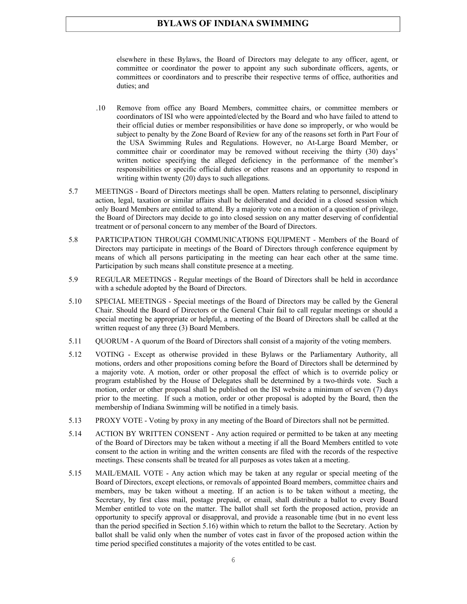elsewhere in these Bylaws, the Board of Directors may delegate to any officer, agent, or committee or coordinator the power to appoint any such subordinate officers, agents, or committees or coordinators and to prescribe their respective terms of office, authorities and duties; and

- .10 Remove from office any Board Members, committee chairs, or committee members or coordinators of ISI who were appointed/elected by the Board and who have failed to attend to their official duties or member responsibilities or have done so improperly, or who would be subject to penalty by the Zone Board of Review for any of the reasons set forth in Part Four of the USA Swimming Rules and Regulations. However, no At-Large Board Member, or committee chair or coordinator may be removed without receiving the thirty (30) days' written notice specifying the alleged deficiency in the performance of the member's responsibilities or specific official duties or other reasons and an opportunity to respond in writing within twenty (20) days to such allegations.
- 5.7 MEETINGS Board of Directors meetings shall be open. Matters relating to personnel, disciplinary action, legal, taxation or similar affairs shall be deliberated and decided in a closed session which only Board Members are entitled to attend. By a majority vote on a motion of a question of privilege, the Board of Directors may decide to go into closed session on any matter deserving of confidential treatment or of personal concern to any member of the Board of Directors.
- 5.8 PARTICIPATION THROUGH COMMUNICATIONS EQUIPMENT Members of the Board of Directors may participate in meetings of the Board of Directors through conference equipment by means of which all persons participating in the meeting can hear each other at the same time. Participation by such means shall constitute presence at a meeting.
- 5.9 REGULAR MEETINGS Regular meetings of the Board of Directors shall be held in accordance with a schedule adopted by the Board of Directors.
- 5.10 SPECIAL MEETINGS Special meetings of the Board of Directors may be called by the General Chair. Should the Board of Directors or the General Chair fail to call regular meetings or should a special meeting be appropriate or helpful, a meeting of the Board of Directors shall be called at the written request of any three (3) Board Members.
- 5.11 QUORUM A quorum of the Board of Directors shall consist of a majority of the voting members.
- 5.12 VOTING Except as otherwise provided in these Bylaws or the Parliamentary Authority, all motions, orders and other propositions coming before the Board of Directors shall be determined by a majority vote. A motion, order or other proposal the effect of which is to override policy or program established by the House of Delegates shall be determined by a two-thirds vote. Such a motion, order or other proposal shall be published on the ISI website a minimum of seven (7) days prior to the meeting. If such a motion, order or other proposal is adopted by the Board, then the membership of Indiana Swimming will be notified in a timely basis.
- 5.13 PROXY VOTE Voting by proxy in any meeting of the Board of Directors shall not be permitted.
- 5.14 ACTION BY WRITTEN CONSENT Any action required or permitted to be taken at any meeting of the Board of Directors may be taken without a meeting if all the Board Members entitled to vote consent to the action in writing and the written consents are filed with the records of the respective meetings. These consents shall be treated for all purposes as votes taken at a meeting.
- 5.15 MAIL/EMAIL VOTE Any action which may be taken at any regular or special meeting of the Board of Directors, except elections, or removals of appointed Board members, committee chairs and members, may be taken without a meeting. If an action is to be taken without a meeting, the Secretary, by first class mail, postage prepaid, or email, shall distribute a ballot to every Board Member entitled to vote on the matter. The ballot shall set forth the proposed action, provide an opportunity to specify approval or disapproval, and provide a reasonable time (but in no event less than the period specified in Section 5.16) within which to return the ballot to the Secretary. Action by ballot shall be valid only when the number of votes cast in favor of the proposed action within the time period specified constitutes a majority of the votes entitled to be cast.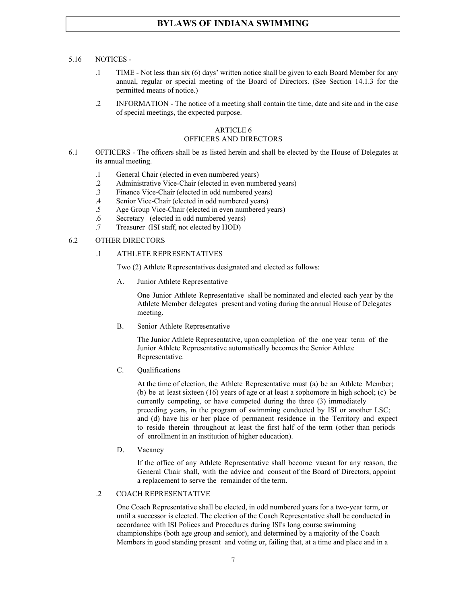#### 5.16 NOTICES -

- .1 TIME Not less than six (6) days' written notice shall be given to each Board Member for any annual, regular or special meeting of the Board of Directors. (See Section 14.1.3 for the permitted means of notice.)
- .2 INFORMATION The notice of a meeting shall contain the time, date and site and in the case of special meetings, the expected purpose.

#### ARTICLE 6

#### OFFICERS AND DIRECTORS

- 6.1 OFFICERS The officers shall be as listed herein and shall be elected by the House of Delegates at its annual meeting.
	- .1 General Chair (elected in even numbered years)
	- .2 Administrative Vice-Chair (elected in even numbered years)
	- .3 Finance Vice-Chair (elected in odd numbered years)
	- .4 Senior Vice-Chair (elected in odd numbered years)
	- .5 Age Group Vice-Chair (elected in even numbered years)
	- .6 Secretary (elected in odd numbered years)
	- .7 Treasurer (ISI staff, not elected by HOD)

#### 6.2 OTHER DIRECTORS

#### .1 ATHLETE REPRESENTATIVES

Two (2) Athlete Representatives designated and elected as follows:

A. Junior Athlete Representative

One Junior Athlete Representative shall be nominated and elected each year by the Athlete Member delegates present and voting during the annual House of Delegates meeting.

B. Senior Athlete Representative

The Junior Athlete Representative, upon completion of the one year term of the Junior Athlete Representative automatically becomes the Senior Athlete Representative.

C. Qualifications

At the time of election, the Athlete Representative must (a) be an Athlete Member; (b) be at least sixteen (16) years of age or at least a sophomore in high school; (c) be currently competing, or have competed during the three (3) immediately preceding years, in the program of swimming conducted by ISI or another LSC; and (d) have his or her place of permanent residence in the Territory and expect to reside therein throughout at least the first half of the term (other than periods of enrollment in an institution of higher education).

D. Vacancy

If the office of any Athlete Representative shall become vacant for any reason, the General Chair shall, with the advice and consent of the Board of Directors, appoint a replacement to serve the remainder of the term.

#### .2 COACH REPRESENTATIVE

One Coach Representative shall be elected, in odd numbered years for a two-year term, or until a successor is elected. The election of the Coach Representative shall be conducted in accordance with ISI Polices and Procedures during ISI's long course swimming championships (both age group and senior), and determined by a majority of the Coach Members in good standing present and voting or, failing that, at a time and place and in a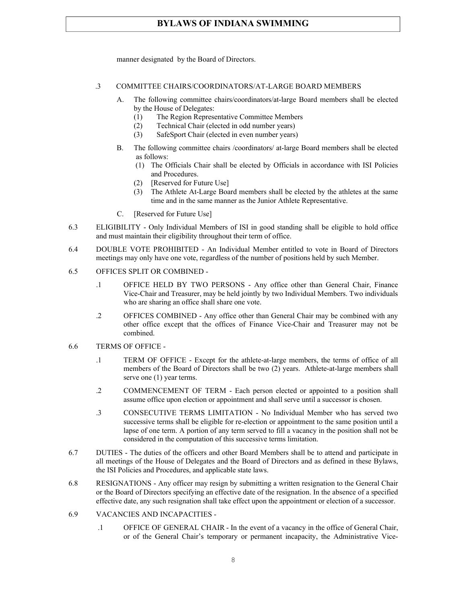manner designated by the Board of Directors.

#### .3 COMMITTEE CHAIRS/COORDINATORS/AT-LARGE BOARD MEMBERS

- A. The following committee chairs/coordinators/at-large Board members shall be elected by the House of Delegates:
	- (1) The Region Representative Committee Members
	- (2) Technical Chair (elected in odd number years)
	- (3) SafeSport Chair (elected in even number years)
- B. The following committee chairs /coordinators/ at-large Board members shall be elected as follows:
	- (1) The Officials Chair shall be elected by Officials in accordance with ISI Policies and Procedures.
	- (2) [Reserved for Future Use]
	- (3) The Athlete At-Large Board members shall be elected by the athletes at the same time and in the same manner as the Junior Athlete Representative.
- C. [Reserved for Future Use]
- 6.3 ELIGIBILITY Only Individual Members of ISI in good standing shall be eligible to hold office and must maintain their eligibility throughout their term of office.
- 6.4 DOUBLE VOTE PROHIBITED An Individual Member entitled to vote in Board of Directors meetings may only have one vote, regardless of the number of positions held by such Member.
- 6.5 OFFICES SPLIT OR COMBINED
	- .1 OFFICE HELD BY TWO PERSONS Any office other than General Chair, Finance Vice-Chair and Treasurer, may be held jointly by two Individual Members. Two individuals who are sharing an office shall share one vote.
	- .2 OFFICES COMBINED Any office other than General Chair may be combined with any other office except that the offices of Finance Vice-Chair and Treasurer may not be combined.
- 6.6 TERMS OF OFFICE
	- .1 TERM OF OFFICE Except for the athlete-at-large members, the terms of office of all members of the Board of Directors shall be two (2) years. Athlete-at-large members shall serve one (1) year terms.
	- .2 COMMENCEMENT OF TERM Each person elected or appointed to a position shall assume office upon election or appointment and shall serve until a successor is chosen.
	- .3 CONSECUTIVE TERMS LIMITATION No Individual Member who has served two successive terms shall be eligible for re-election or appointment to the same position until a lapse of one term. A portion of any term served to fill a vacancy in the position shall not be considered in the computation of this successive terms limitation.
- 6.7 DUTIES The duties of the officers and other Board Members shall be to attend and participate in all meetings of the House of Delegates and the Board of Directors and as defined in these Bylaws, the ISI Policies and Procedures, and applicable state laws.
- 6.8 RESIGNATIONS Any officer may resign by submitting a written resignation to the General Chair or the Board of Directors specifying an effective date of the resignation. In the absence of a specified effective date, any such resignation shall take effect upon the appointment or election of a successor.
- 6.9 VACANCIES AND INCAPACITIES
	- .1 OFFICE OF GENERAL CHAIR In the event of a vacancy in the office of General Chair, or of the General Chair's temporary or permanent incapacity, the Administrative Vice-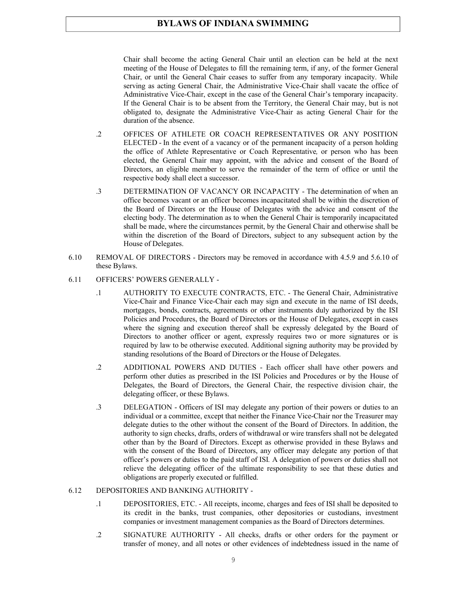Chair shall become the acting General Chair until an election can be held at the next meeting of the House of Delegates to fill the remaining term, if any, of the former General Chair, or until the General Chair ceases to suffer from any temporary incapacity. While serving as acting General Chair, the Administrative Vice-Chair shall vacate the office of Administrative Vice-Chair, except in the case of the General Chair's temporary incapacity. If the General Chair is to be absent from the Territory, the General Chair may, but is not obligated to, designate the Administrative Vice-Chair as acting General Chair for the duration of the absence.

- .2 OFFICES OF ATHLETE OR COACH REPRESENTATIVES OR ANY POSITION ELECTED - In the event of a vacancy or of the permanent incapacity of a person holding the office of Athlete Representative or Coach Representative*,* or person who has been elected, the General Chair may appoint, with the advice and consent of the Board of Directors, an eligible member to serve the remainder of the term of office or until the respective body shall elect a successor.
- .3 DETERMINATION OF VACANCY OR INCAPACITY The determination of when an office becomes vacant or an officer becomes incapacitated shall be within the discretion of the Board of Directors or the House of Delegates with the advice and consent of the electing body. The determination as to when the General Chair is temporarily incapacitated shall be made, where the circumstances permit, by the General Chair and otherwise shall be within the discretion of the Board of Directors, subject to any subsequent action by the House of Delegates.
- 6.10 REMOVAL OF DIRECTORS Directors may be removed in accordance with 4.5.9 and 5.6.10 of these Bylaws.
- 6.11 OFFICERS' POWERS GENERALLY
	- .1 AUTHORITY TO EXECUTE CONTRACTS, ETC. The General Chair, Administrative Vice-Chair and Finance Vice-Chair each may sign and execute in the name of ISI deeds, mortgages, bonds, contracts, agreements or other instruments duly authorized by the ISI Policies and Procedures, the Board of Directors or the House of Delegates, except in cases where the signing and execution thereof shall be expressly delegated by the Board of Directors to another officer or agent, expressly requires two or more signatures or is required by law to be otherwise executed. Additional signing authority may be provided by standing resolutions of the Board of Directors or the House of Delegates.
	- .2 ADDITIONAL POWERS AND DUTIES Each officer shall have other powers and perform other duties as prescribed in the ISI Policies and Procedures or by the House of Delegates, the Board of Directors, the General Chair, the respective division chair, the delegating officer, or these Bylaws.
	- .3 DELEGATION Officers of ISI may delegate any portion of their powers or duties to an individual or a committee, except that neither the Finance Vice-Chair nor the Treasurer may delegate duties to the other without the consent of the Board of Directors. In addition, the authority to sign checks, drafts, orders of withdrawal or wire transfers shall not be delegated other than by the Board of Directors. Except as otherwise provided in these Bylaws and with the consent of the Board of Directors, any officer may delegate any portion of that officer's powers or duties to the paid staff of ISI*.* A delegation of powers or duties shall not relieve the delegating officer of the ultimate responsibility to see that these duties and obligations are properly executed or fulfilled.

#### 6.12 DEPOSITORIES AND BANKING AUTHORITY -

- .1 DEPOSITORIES, ETC. All receipts, income, charges and fees of ISI shall be deposited to its credit in the banks, trust companies, other depositories or custodians, investment companies or investment management companies as the Board of Directors determines.
- .2 SIGNATURE AUTHORITY All checks, drafts or other orders for the payment or transfer of money, and all notes or other evidences of indebtedness issued in the name of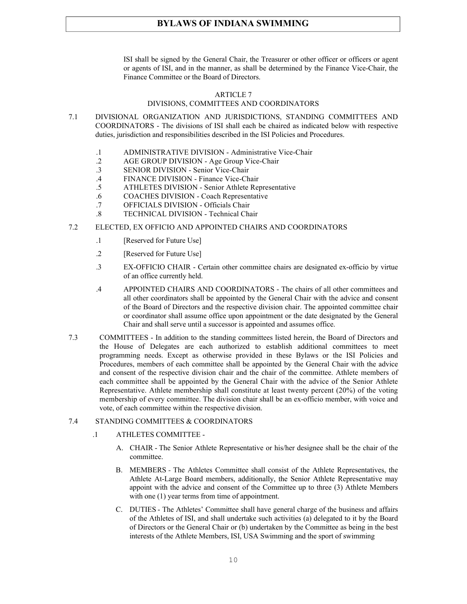ISI shall be signed by the General Chair, the Treasurer or other officer or officers or agent or agents of ISI, and in the manner, as shall be determined by the Finance Vice-Chair, the Finance Committee or the Board of Directors.

#### ARTICLE 7

#### DIVISIONS, COMMITTEES AND COORDINATORS

- 7.1 DIVISIONAL ORGANIZATION AND JURISDICTIONS, STANDING COMMITTEES AND COORDINATORS - The divisions of ISI shall each be chaired as indicated below with respective duties, jurisdiction and responsibilities described in the ISI Policies and Procedures.
	- .1 ADMINISTRATIVE DIVISION Administrative Vice-Chair
	- .2 AGE GROUP DIVISION Age Group Vice-Chair
	- .3 SENIOR DIVISION Senior Vice-Chair
	- .4 FINANCE DIVISION Finance Vice-Chair
	- .5 ATHLETES DIVISION Senior Athlete Representative
	- .6 COACHES DIVISION Coach Representative
	- .7 OFFICIALS DIVISION Officials Chair
	- .8 TECHNICAL DIVISION Technical Chair
- 7.2 ELECTED, EX OFFICIO AND APPOINTED CHAIRS AND COORDINATORS
	- .1 [Reserved for Future Use]
	- .2 [Reserved for Future Use]
	- .3 EX-OFFICIO CHAIR Certain other committee chairs are designated ex-officio by virtue of an office currently held.
	- .4 APPOINTED CHAIRS AND COORDINATORS The chairs of all other committees and all other coordinators shall be appointed by the General Chair with the advice and consent of the Board of Directors and the respective division chair. The appointed committee chair or coordinator shall assume office upon appointment or the date designated by the General Chair and shall serve until a successor is appointed and assumes office.
- 7.3 COMMITTEES In addition to the standing committees listed herein, the Board of Directors and the House of Delegates are each authorized to establish additional committees to meet programming needs. Except as otherwise provided in these Bylaws or the ISI Policies and Procedures, members of each committee shall be appointed by the General Chair with the advice and consent of the respective division chair and the chair of the committee. Athlete members of each committee shall be appointed by the General Chair with the advice of the Senior Athlete Representative. Athlete membership shall constitute at least twenty percent (20%) of the voting membership of every committee. The division chair shall be an ex-officio member, with voice and vote, of each committee within the respective division.

#### 7.4 STANDING COMMITTEES & COORDINATORS

- .1 ATHLETES COMMITTEE
	- A. CHAIR The Senior Athlete Representative or his/her designee shall be the chair of the committee.
	- B. MEMBERS *-* The Athletes Committee shall consist of the Athlete Representatives, the Athlete At-Large Board members, additionally, the Senior Athlete Representative may appoint with the advice and consent of the Committee up to three (3) Athlete Members with one  $(1)$  year terms from time of appointment.
	- C. DUTIES The Athletes' Committee shall have general charge of the business and affairs of the Athletes of ISI, and shall undertake such activities (a) delegated to it by the Board of Directors or the General Chair or (b) undertaken by the Committee as being in the best interests of the Athlete Members, ISI, USA Swimming and the sport of swimming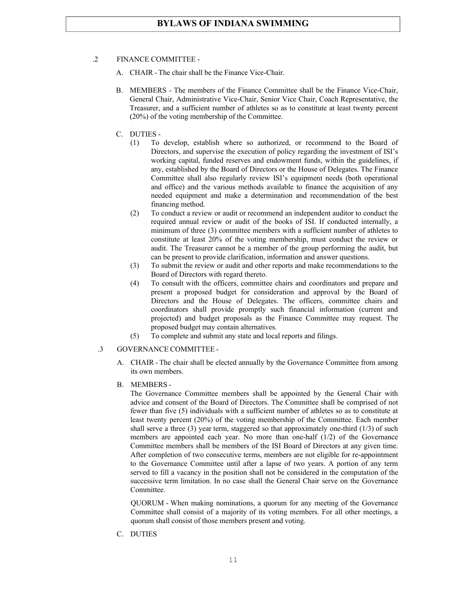#### .2 FINANCE COMMITTEE -

- A. CHAIR The chair shall be the Finance Vice-Chair.
- B. MEMBERS The members of the Finance Committee shall be the Finance Vice-Chair, General Chair, Administrative Vice-Chair, Senior Vice Chair, Coach Representative, the Treasurer, and a sufficient number of athletes so as to constitute at least twenty percent (20%) of the voting membership of the Committee.
- C. DUTIES
	- (1) To develop, establish where so authorized, or recommend to the Board of Directors, and supervise the execution of policy regarding the investment of ISI's working capital, funded reserves and endowment funds, within the guidelines, if any, established by the Board of Directors or the House of Delegates. The Finance Committee shall also regularly review ISI's equipment needs (both operational and office) and the various methods available to finance the acquisition of any needed equipment and make a determination and recommendation of the best financing method.
	- (2) To conduct a review or audit or recommend an independent auditor to conduct the required annual review or audit of the books of ISI. If conducted internally, a minimum of three (3) committee members with a sufficient number of athletes to constitute at least 20% of the voting membership, must conduct the review or audit. The Treasurer cannot be a member of the group performing the audit, but can be present to provide clarification, information and answer questions.
	- (3) To submit the review or audit and other reports and make recommendations to the Board of Directors with regard thereto.
	- (4) To consult with the officers, committee chairs and coordinators and prepare and present a proposed budget for consideration and approval by the Board of Directors and the House of Delegates. The officers, committee chairs and coordinators shall provide promptly such financial information (current and projected) and budget proposals as the Finance Committee may request. The proposed budget may contain alternatives.
	- (5) To complete and submit any state and local reports and filings.
- .3 GOVERNANCE COMMITTEE
	- A. CHAIR The chair shall be elected annually by the Governance Committee from among its own members.
	- B. MEMBERS -

The Governance Committee members shall be appointed by the General Chair with advice and consent of the Board of Directors. The Committee shall be comprised of not fewer than five (5) individuals with a sufficient number of athletes so as to constitute at least twenty percent (20%) of the voting membership of the Committee. Each member shall serve a three  $(3)$  year term, staggered so that approximately one-third  $(1/3)$  of such members are appointed each year. No more than one-half (1/2) of the Governance Committee members shall be members of the ISI Board of Directors at any given time. After completion of two consecutive terms, members are not eligible for re-appointment to the Governance Committee until after a lapse of two years. A portion of any term served to fill a vacancy in the position shall not be considered in the computation of the successive term limitation. In no case shall the General Chair serve on the Governance **Committee** 

QUORUM - When making nominations, a quorum for any meeting of the Governance Committee shall consist of a majority of its voting members. For all other meetings, a quorum shall consist of those members present and voting.

C. DUTIES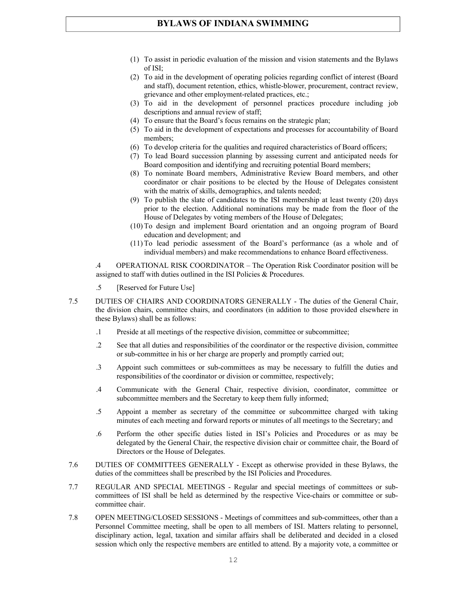- (1) To assist in periodic evaluation of the mission and vision statements and the Bylaws of ISI;
- (2) To aid in the development of operating policies regarding conflict of interest (Board and staff), document retention, ethics, whistle-blower, procurement, contract review, grievance and other employment-related practices, etc.;
- (3) To aid in the development of personnel practices procedure including job descriptions and annual review of staff;
- (4) To ensure that the Board's focus remains on the strategic plan;
- (5) To aid in the development of expectations and processes for accountability of Board members;
- (6) To develop criteria for the qualities and required characteristics of Board officers;
- (7) To lead Board succession planning by assessing current and anticipated needs for Board composition and identifying and recruiting potential Board members;
- (8) To nominate Board members, Administrative Review Board members, and other coordinator or chair positions to be elected by the House of Delegates consistent with the matrix of skills, demographics, and talents needed;
- (9) To publish the slate of candidates to the ISI membership at least twenty (20) days prior to the election. Additional nominations may be made from the floor of the House of Delegates by voting members of the House of Delegates;
- (10) To design and implement Board orientation and an ongoing program of Board education and development; and
- (11) To lead periodic assessment of the Board's performance (as a whole and of individual members) and make recommendations to enhance Board effectiveness.

.4 OPERATIONAL RISK COORDINATOR – The Operation Risk Coordinator position will be assigned to staff with duties outlined in the ISI Policies & Procedures.

- .5 [Reserved for Future Use]
- 7.5 DUTIES OF CHAIRS AND COORDINATORS GENERALLY The duties of the General Chair, the division chairs, committee chairs, and coordinators (in addition to those provided elsewhere in these Bylaws) shall be as follows:
	- .1 Preside at all meetings of the respective division, committee or subcommittee;
	- .2 See that all duties and responsibilities of the coordinator or the respective division, committee or sub-committee in his or her charge are properly and promptly carried out;
	- .3 Appoint such committees or sub-committees as may be necessary to fulfill the duties and responsibilities of the coordinator or division or committee, respectively;
	- .4 Communicate with the General Chair, respective division, coordinator, committee or subcommittee members and the Secretary to keep them fully informed;
	- .5 Appoint a member as secretary of the committee or subcommittee charged with taking minutes of each meeting and forward reports or minutes of all meetings to the Secretary; and
	- .6 Perform the other specific duties listed in ISI's Policies and Procedures or as may be delegated by the General Chair, the respective division chair or committee chair, the Board of Directors or the House of Delegates.
- 7.6 DUTIES OF COMMITTEES GENERALLY Except as otherwise provided in these Bylaws, the duties of the committees shall be prescribed by the ISI Policies and Procedures.
- 7.7 REGULAR AND SPECIAL MEETINGS Regular and special meetings of committees or subcommittees of ISI shall be held as determined by the respective Vice-chairs or committee or subcommittee chair.
- 7.8 OPEN MEETING/CLOSED SESSIONS Meetings of committees and sub-committees, other than a Personnel Committee meeting, shall be open to all members of ISI. Matters relating to personnel, disciplinary action, legal, taxation and similar affairs shall be deliberated and decided in a closed session which only the respective members are entitled to attend. By a majority vote, a committee or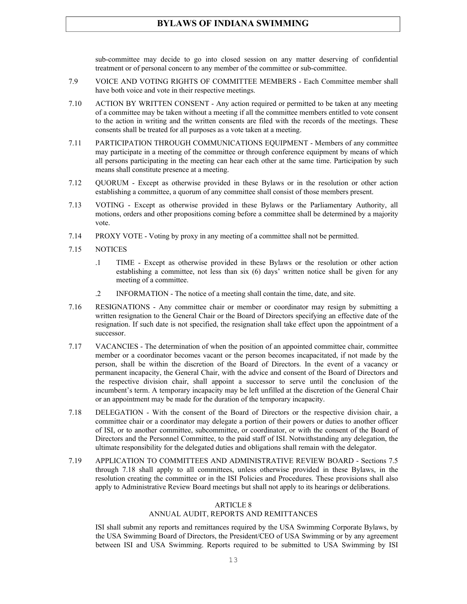sub-committee may decide to go into closed session on any matter deserving of confidential treatment or of personal concern to any member of the committee or sub-committee.

- 7.9 VOICE AND VOTING RIGHTS OF COMMITTEE MEMBERS Each Committee member shall have both voice and vote in their respective meetings.
- 7.10 ACTION BY WRITTEN CONSENT Any action required or permitted to be taken at any meeting of a committee may be taken without a meeting if all the committee members entitled to vote consent to the action in writing and the written consents are filed with the records of the meetings. These consents shall be treated for all purposes as a vote taken at a meeting.
- 7.11 PARTICIPATION THROUGH COMMUNICATIONS EQUIPMENT Members of any committee may participate in a meeting of the committee or through conference equipment by means of which all persons participating in the meeting can hear each other at the same time. Participation by such means shall constitute presence at a meeting.
- 7.12 QUORUM Except as otherwise provided in these Bylaws or in the resolution or other action establishing a committee, a quorum of any committee shall consist of those members present.
- 7.13 VOTING Except as otherwise provided in these Bylaws or the Parliamentary Authority, all motions, orders and other propositions coming before a committee shall be determined by a majority vote.
- 7.14 PROXY VOTE Voting by proxy in any meeting of a committee shall not be permitted.
- 7.15 NOTICES
	- .1 TIME Except as otherwise provided in these Bylaws or the resolution or other action establishing a committee, not less than six (6) days' written notice shall be given for any meeting of a committee.
	- .2 INFORMATION The notice of a meeting shall contain the time, date, and site.
- 7.16 RESIGNATIONS Any committee chair or member or coordinator may resign by submitting a written resignation to the General Chair or the Board of Directors specifying an effective date of the resignation. If such date is not specified, the resignation shall take effect upon the appointment of a successor.
- 7.17 VACANCIES The determination of when the position of an appointed committee chair, committee member or a coordinator becomes vacant or the person becomes incapacitated, if not made by the person, shall be within the discretion of the Board of Directors. In the event of a vacancy or permanent incapacity, the General Chair, with the advice and consent of the Board of Directors and the respective division chair, shall appoint a successor to serve until the conclusion of the incumbent's term. A temporary incapacity may be left unfilled at the discretion of the General Chair or an appointment may be made for the duration of the temporary incapacity.
- 7.18 DELEGATION With the consent of the Board of Directors or the respective division chair, a committee chair or a coordinator may delegate a portion of their powers or duties to another officer of ISI, or to another committee, subcommittee, or coordinator, or with the consent of the Board of Directors and the Personnel Committee, to the paid staff of ISI. Notwithstanding any delegation, the ultimate responsibility for the delegated duties and obligations shall remain with the delegator.
- 7.19 APPLICATION TO COMMITTEES AND ADMINISTRATIVE REVIEW BOARD Sections 7.5 through 7.18 shall apply to all committees, unless otherwise provided in these Bylaws, in the resolution creating the committee or in the ISI Policies and Procedures. These provisions shall also apply to Administrative Review Board meetings but shall not apply to its hearings or deliberations.

#### ARTICLE 8

#### ANNUAL AUDIT, REPORTS AND REMITTANCES

ISI shall submit any reports and remittances required by the USA Swimming Corporate Bylaws, by the USA Swimming Board of Directors, the President/CEO of USA Swimming or by any agreement between ISI and USA Swimming. Reports required to be submitted to USA Swimming by ISI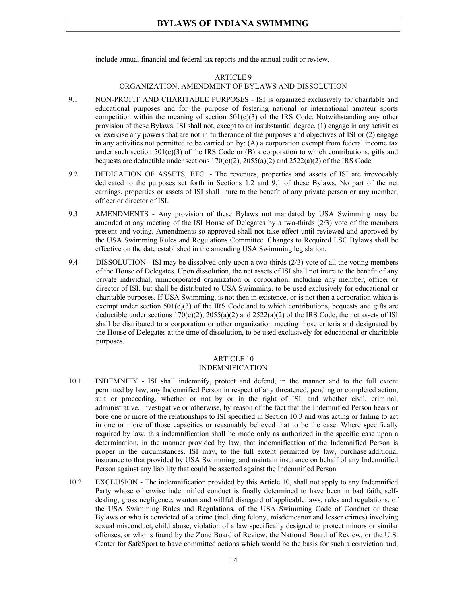include annual financial and federal tax reports and the annual audit or review.

#### ARTICLE 9

#### ORGANIZATION, AMENDMENT OF BYLAWS AND DISSOLUTION

- 9.1 NON-PROFIT AND CHARITABLE PURPOSES ISI is organized exclusively for charitable and educational purposes and for the purpose of fostering national or international amateur sports competition within the meaning of section  $501(c)(3)$  of the IRS Code. Notwithstanding any other provision of these Bylaws, ISI shall not, except to an insubstantial degree, (1) engage in any activities or exercise any powers that are not in furtherance of the purposes and objectives of ISI or (2) engage in any activities not permitted to be carried on by: (A) a corporation exempt from federal income tax under such section  $501(c)(3)$  of the IRS Code or (B) a corporation to which contributions, gifts and bequests are deductible under sections  $170(c)(2)$ ,  $2055(a)(2)$  and  $2522(a)(2)$  of the IRS Code.
- 9.2 DEDICATION OF ASSETS, ETC. The revenues, properties and assets of ISI are irrevocably dedicated to the purposes set forth in Sections 1.2 and 9.1 of these Bylaws. No part of the net earnings, properties or assets of ISI shall inure to the benefit of any private person or any member, officer or director of ISI.
- 9.3 AMENDMENTS Any provision of these Bylaws not mandated by USA Swimming may be amended at any meeting of the ISI House of Delegates by a two-thirds (2/3) vote of the members present and voting. Amendments so approved shall not take effect until reviewed and approved by the USA Swimming Rules and Regulations Committee. Changes to Required LSC Bylaws shall be effective on the date established in the amending USA Swimming legislation.
- 9.4 DISSOLUTION ISI may be dissolved only upon a two-thirds (2/3) vote of all the voting members of the House of Delegates. Upon dissolution, the net assets of ISI shall not inure to the benefit of any private individual, unincorporated organization or corporation, including any member, officer or director of ISI, but shall be distributed to USA Swimming, to be used exclusively for educational or charitable purposes. If USA Swimming, is not then in existence, or is not then a corporation which is exempt under section  $501(c)(3)$  of the IRS Code and to which contributions, bequests and gifts are deductible under sections  $170(c)(2)$ ,  $2055(a)(2)$  and  $2522(a)(2)$  of the IRS Code, the net assets of ISI shall be distributed to a corporation or other organization meeting those criteria and designated by the House of Delegates at the time of dissolution, to be used exclusively for educational or charitable purposes.

## ARTICLE 10

## INDEMNIFICATION

- 10.1 INDEMNITY ISI shall indemnify, protect and defend, in the manner and to the full extent permitted by law, any Indemnified Person in respect of any threatened, pending or completed action, suit or proceeding, whether or not by or in the right of ISI, and whether civil, criminal, administrative, investigative or otherwise, by reason of the fact that the Indemnified Person bears or bore one or more of the relationships to ISI specified in Section 10.3 and was acting or failing to act in one or more of those capacities or reasonably believed that to be the case. Where specifically required by law, this indemnification shall be made only as authorized in the specific case upon a determination, in the manner provided by law, that indemnification of the Indemnified Person is proper in the circumstances. ISI may, to the full extent permitted by law, purchase additional insurance to that provided by USA Swimming, and maintain insurance on behalf of any Indemnified Person against any liability that could be asserted against the Indemnified Person.
- 10.2 EXCLUSION The indemnification provided by this Article 10, shall not apply to any Indemnified Party whose otherwise indemnified conduct is finally determined to have been in bad faith, selfdealing, gross negligence, wanton and willful disregard of applicable laws, rules and regulations, of the USA Swimming Rules and Regulations, of the USA Swimming Code of Conduct or these Bylaws or who is convicted of a crime (including felony, misdemeanor and lesser crimes) involving sexual misconduct, child abuse, violation of a law specifically designed to protect minors or similar offenses, or who is found by the Zone Board of Review, the National Board of Review, or the U.S. Center for SafeSport to have committed actions which would be the basis for such a conviction and,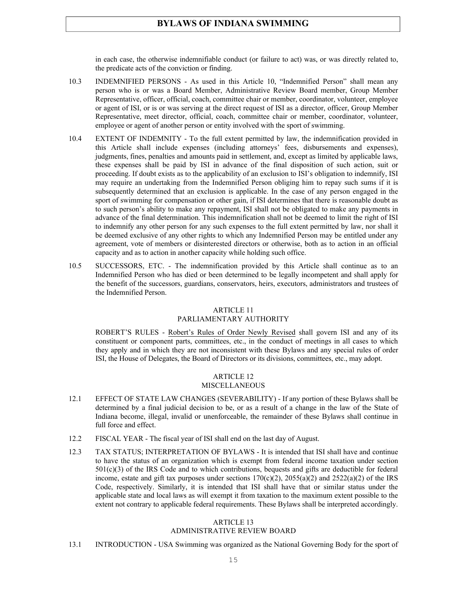in each case, the otherwise indemnifiable conduct (or failure to act) was, or was directly related to, the predicate acts of the conviction or finding.

- 10.3 INDEMNIFIED PERSONS As used in this Article 10, "Indemnified Person" shall mean any person who is or was a Board Member, Administrative Review Board member, Group Member Representative, officer, official, coach, committee chair or member, coordinator, volunteer, employee or agent of ISI, or is or was serving at the direct request of ISI as a director, officer, Group Member Representative, meet director, official, coach, committee chair or member, coordinator, volunteer, employee or agent of another person or entity involved with the sport of swimming.
- 10.4 EXTENT OF INDEMNITY To the full extent permitted by law, the indemnification provided in this Article shall include expenses (including attorneys' fees, disbursements and expenses), judgments, fines, penalties and amounts paid in settlement, and, except as limited by applicable laws, these expenses shall be paid by ISI in advance of the final disposition of such action, suit or proceeding. If doubt exists as to the applicability of an exclusion to ISI's obligation to indemnify, ISI may require an undertaking from the Indemnified Person obliging him to repay such sums if it is subsequently determined that an exclusion is applicable. In the case of any person engaged in the sport of swimming for compensation or other gain, if ISI determines that there is reasonable doubt as to such person's ability to make any repayment, ISI shall not be obligated to make any payments in advance of the final determination. This indemnification shall not be deemed to limit the right of ISI to indemnify any other person for any such expenses to the full extent permitted by law, nor shall it be deemed exclusive of any other rights to which any Indemnified Person may be entitled under any agreement, vote of members or disinterested directors or otherwise, both as to action in an official capacity and as to action in another capacity while holding such office.
- 10.5 SUCCESSORS, ETC. The indemnification provided by this Article shall continue as to an Indemnified Person who has died or been determined to be legally incompetent and shall apply for the benefit of the successors, guardians, conservators, heirs, executors, administrators and trustees of the Indemnified Person.

## ARTICLE 11

#### PARLIAMENTARY AUTHORITY

ROBERT'S RULES - Robert's Rules of Order Newly Revised shall govern ISI and any of its constituent or component parts, committees, etc., in the conduct of meetings in all cases to which they apply and in which they are not inconsistent with these Bylaws and any special rules of order ISI, the House of Delegates, the Board of Directors or its divisions, committees, etc., may adopt.

#### ARTICLE 12 MISCELLANEOUS

- 12.1 EFFECT OF STATE LAW CHANGES (SEVERABILITY) If any portion of these Bylaws shall be determined by a final judicial decision to be, or as a result of a change in the law of the State of Indiana become, illegal, invalid or unenforceable, the remainder of these Bylaws shall continue in full force and effect.
- 12.2 FISCAL YEAR The fiscal year of ISI shall end on the last day of August.
- 12.3 TAX STATUS; INTERPRETATION OF BYLAWS It is intended that ISI shall have and continue to have the status of an organization which is exempt from federal income taxation under section 501(c)(3) of the IRS Code and to which contributions, bequests and gifts are deductible for federal income, estate and gift tax purposes under sections  $170(c)(2)$ ,  $2055(a)(2)$  and  $2522(a)(2)$  of the IRS Code, respectively. Similarly, it is intended that ISI shall have that or similar status under the applicable state and local laws as will exempt it from taxation to the maximum extent possible to the extent not contrary to applicable federal requirements. These Bylaws shall be interpreted accordingly.

#### ARTICLE 13

#### ADMINISTRATIVE REVIEW BOARD

13.1 INTRODUCTION - USA Swimming was organized as the National Governing Body for the sport of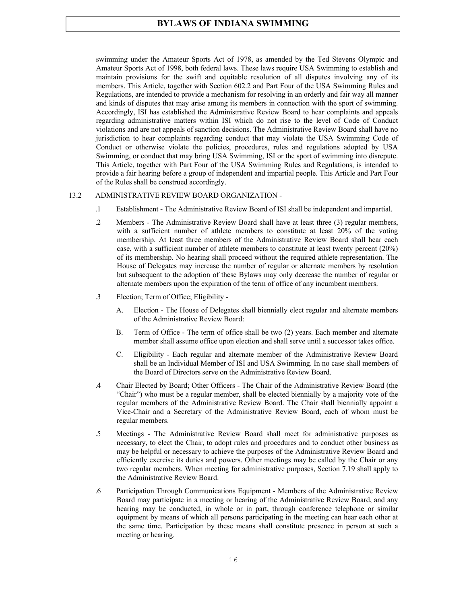swimming under the Amateur Sports Act of 1978, as amended by the Ted Stevens Olympic and Amateur Sports Act of 1998, both federal laws. These laws require USA Swimming to establish and maintain provisions for the swift and equitable resolution of all disputes involving any of its members. This Article, together with Section 602.2 and Part Four of the USA Swimming Rules and Regulations, are intended to provide a mechanism for resolving in an orderly and fair way all manner and kinds of disputes that may arise among its members in connection with the sport of swimming. Accordingly, ISI has established the Administrative Review Board to hear complaints and appeals regarding administrative matters within ISI which do not rise to the level of Code of Conduct violations and are not appeals of sanction decisions. The Administrative Review Board shall have no jurisdiction to hear complaints regarding conduct that may violate the USA Swimming Code of Conduct or otherwise violate the policies, procedures, rules and regulations adopted by USA Swimming, or conduct that may bring USA Swimming, ISI or the sport of swimming into disrepute. This Article, together with Part Four of the USA Swimming Rules and Regulations, is intended to provide a fair hearing before a group of independent and impartial people. This Article and Part Four of the Rules shall be construed accordingly.

#### 13.2 ADMINISTRATIVE REVIEW BOARD ORGANIZATION -

- .1 Establishment The Administrative Review Board of ISI shall be independent and impartial.
- .2 Members The Administrative Review Board shall have at least three (3) regular members, with a sufficient number of athlete members to constitute at least 20% of the voting membership. At least three members of the Administrative Review Board shall hear each case, with a sufficient number of athlete members to constitute at least twenty percent (20%) of its membership. No hearing shall proceed without the required athlete representation. The House of Delegates may increase the number of regular or alternate members by resolution but subsequent to the adoption of these Bylaws may only decrease the number of regular or alternate members upon the expiration of the term of office of any incumbent members.
- .3 Election; Term of Office; Eligibility
	- A. Election The House of Delegates shall biennially elect regular and alternate members of the Administrative Review Board:
	- B. Term of Office The term of office shall be two (2) years. Each member and alternate member shall assume office upon election and shall serve until a successor takes office.
	- C. Eligibility Each regular and alternate member of the Administrative Review Board shall be an Individual Member of ISI and USA Swimming. In no case shall members of the Board of Directors serve on the Administrative Review Board.
- .4 Chair Elected by Board; Other Officers The Chair of the Administrative Review Board (the "Chair") who must be a regular member, shall be elected biennially by a majority vote of the regular members of the Administrative Review Board. The Chair shall biennially appoint a Vice-Chair and a Secretary of the Administrative Review Board, each of whom must be regular members.
- .5 Meetings The Administrative Review Board shall meet for administrative purposes as necessary, to elect the Chair, to adopt rules and procedures and to conduct other business as may be helpful or necessary to achieve the purposes of the Administrative Review Board and efficiently exercise its duties and powers. Other meetings may be called by the Chair or any two regular members. When meeting for administrative purposes, Section 7.19 shall apply to the Administrative Review Board.
- .6 Participation Through Communications Equipment Members of the Administrative Review Board may participate in a meeting or hearing of the Administrative Review Board, and any hearing may be conducted, in whole or in part, through conference telephone or similar equipment by means of which all persons participating in the meeting can hear each other at the same time. Participation by these means shall constitute presence in person at such a meeting or hearing.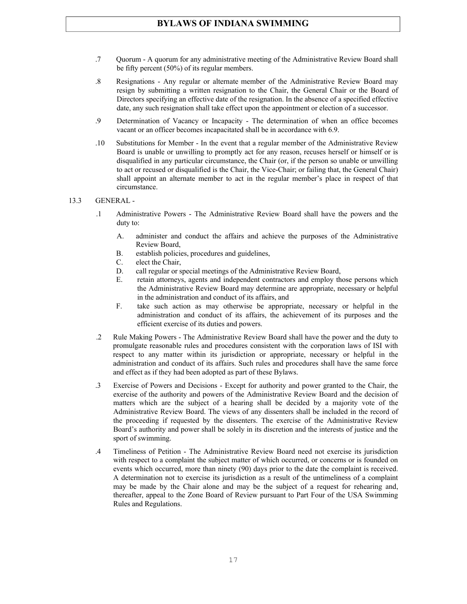- .7 Quorum A quorum for any administrative meeting of the Administrative Review Board shall be fifty percent (50%) of its regular members.
- .8 Resignations Any regular or alternate member of the Administrative Review Board may resign by submitting a written resignation to the Chair, the General Chair or the Board of Directors specifying an effective date of the resignation. In the absence of a specified effective date, any such resignation shall take effect upon the appointment or election of a successor.
- .9 Determination of Vacancy or Incapacity The determination of when an office becomes vacant or an officer becomes incapacitated shall be in accordance with 6.9.
- .10 Substitutions for Member In the event that a regular member of the Administrative Review Board is unable or unwilling to promptly act for any reason, recuses herself or himself or is disqualified in any particular circumstance, the Chair (or, if the person so unable or unwilling to act or recused or disqualified is the Chair, the Vice-Chair; or failing that, the General Chair) shall appoint an alternate member to act in the regular member's place in respect of that circumstance.
- 13.3 GENERAL
	- .1 Administrative Powers The Administrative Review Board shall have the powers and the duty to:
		- A. administer and conduct the affairs and achieve the purposes of the Administrative Review Board,
		- B. establish policies, procedures and guidelines,
		- C. elect the Chair,
		- D. call regular or special meetings of the Administrative Review Board,
		- E. retain attorneys, agents and independent contractors and employ those persons which the Administrative Review Board may determine are appropriate, necessary or helpful in the administration and conduct of its affairs, and
		- F. take such action as may otherwise be appropriate, necessary or helpful in the administration and conduct of its affairs, the achievement of its purposes and the efficient exercise of its duties and powers.
	- .2 Rule Making Powers The Administrative Review Board shall have the power and the duty to promulgate reasonable rules and procedures consistent with the corporation laws of ISI with respect to any matter within its jurisdiction or appropriate, necessary or helpful in the administration and conduct of its affairs. Such rules and procedures shall have the same force and effect as if they had been adopted as part of these Bylaws.
	- .3 Exercise of Powers and Decisions Except for authority and power granted to the Chair, the exercise of the authority and powers of the Administrative Review Board and the decision of matters which are the subject of a hearing shall be decided by a majority vote of the Administrative Review Board. The views of any dissenters shall be included in the record of the proceeding if requested by the dissenters. The exercise of the Administrative Review Board's authority and power shall be solely in its discretion and the interests of justice and the sport of swimming.
	- .4 Timeliness of Petition The Administrative Review Board need not exercise its jurisdiction with respect to a complaint the subject matter of which occurred, or concerns or is founded on events which occurred, more than ninety (90) days prior to the date the complaint is received. A determination not to exercise its jurisdiction as a result of the untimeliness of a complaint may be made by the Chair alone and may be the subject of a request for rehearing and, thereafter, appeal to the Zone Board of Review pursuant to Part Four of the USA Swimming Rules and Regulations.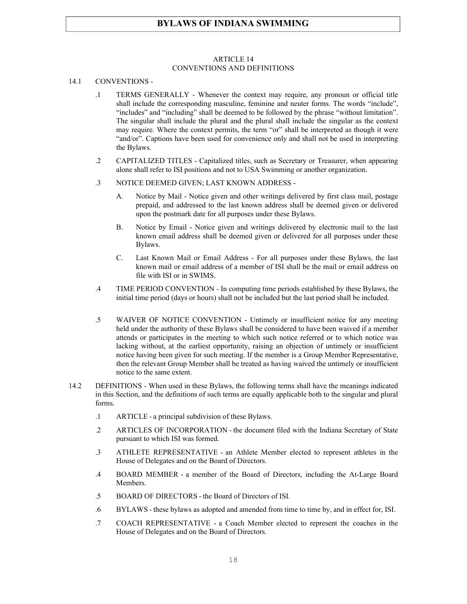#### ARTICLE 14 CONVENTIONS AND DEFINITIONS

#### 14.1 CONVENTIONS -

- .1 TERMS GENERALLY Whenever the context may require, any pronoun or official title shall include the corresponding masculine, feminine and neuter forms. The words "include", "includes" and "including" shall be deemed to be followed by the phrase "without limitation". The singular shall include the plural and the plural shall include the singular as the context may require. Where the context permits, the term "or" shall be interpreted as though it were "and/or". Captions have been used for convenience only and shall not be used in interpreting the Bylaws.
- .2 CAPITALIZED TITLES Capitalized titles, such as Secretary or Treasurer, when appearing alone shall refer to ISI positions and not to USA Swimming or another organization.
- .3 NOTICE DEEMED GIVEN; LAST KNOWN ADDRESS
	- A. Notice by Mail Notice given and other writings delivered by first class mail, postage prepaid, and addressed to the last known address shall be deemed given or delivered upon the postmark date for all purposes under these Bylaws.
	- B. Notice by Email Notice given and writings delivered by electronic mail to the last known email address shall be deemed given or delivered for all purposes under these Bylaws.
	- C. Last Known Mail or Email Address For all purposes under these Bylaws, the last known mail or email address of a member of ISI shall be the mail or email address on file with ISI or in SWIMS.
- .4 TIME PERIOD CONVENTION In computing time periods established by these Bylaws, the initial time period (days or hours) shall not be included but the last period shall be included.
- .5 WAIVER OF NOTICE CONVENTION Untimely or insufficient notice for any meeting held under the authority of these Bylaws shall be considered to have been waived if a member attends or participates in the meeting to which such notice referred or to which notice was lacking without, at the earliest opportunity, raising an objection of untimely or insufficient notice having been given for such meeting. If the member is a Group Member Representative, then the relevant Group Member shall be treated as having waived the untimely or insufficient notice to the same extent.
- 14.2 DEFINITIONS When used in these Bylaws, the following terms shall have the meanings indicated in this Section, and the definitions of such terms are equally applicable both to the singular and plural forms.
	- .1 ARTICLE a principal subdivision of these Bylaws.
	- .2 ARTICLES OF INCORPORATION the document filed with the Indiana Secretary of State pursuant to which ISI was formed.
	- .3 ATHLETE REPRESENTATIVE an Athlete Member elected to represent athletes in the House of Delegates and on the Board of Directors.
	- .4 BOARD MEMBER a member of the Board of Directors, including the At-Large Board Members.
	- .5 BOARD OF DIRECTORS the Board of Directors of ISI.
	- .6 BYLAWS these bylaws as adopted and amended from time to time by, and in effect for, ISI.
	- .7 COACH REPRESENTATIVE a Coach Member elected to represent the coaches in the House of Delegates and on the Board of Directors.